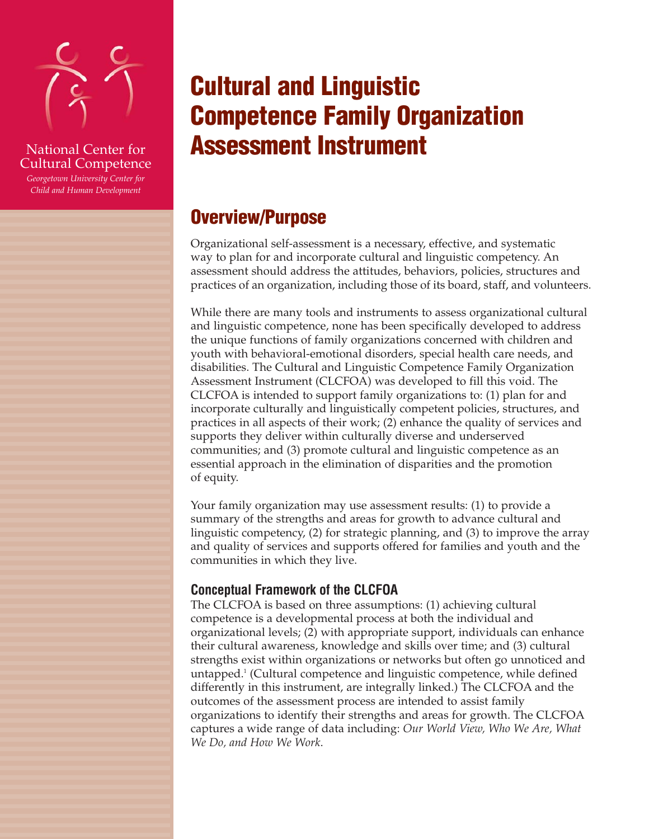

## National Center for Cultural Competence

*Georgetown University Center for Child and Human Development*

# **Cultural and Linguistic Competence Family Organization Assessment Instrument**

## **Overview/Purpose**

Organizational self-assessment is a necessary, effective, and systematic way to plan for and incorporate cultural and linguistic competency. An assessment should address the attitudes, behaviors, policies, structures and practices of an organization, including those of its board, staff, and volunteers.

While there are many tools and instruments to assess organizational cultural and linguistic competence, none has been specifically developed to address the unique functions of family organizations concerned with children and youth with behavioral-emotional disorders, special health care needs, and disabilities. The Cultural and Linguistic Competence Family Organization Assessment Instrument (CLCFOA) was developed to fill this void. The CLCFOA is intended to support family organizations to: (1) plan for and incorporate culturally and linguistically competent policies, structures, and practices in all aspects of their work; (2) enhance the quality of services and supports they deliver within culturally diverse and underserved communities; and (3) promote cultural and linguistic competence as an essential approach in the elimination of disparities and the promotion of equity.

Your family organization may use assessment results: (1) to provide a summary of the strengths and areas for growth to advance cultural and linguistic competency, (2) for strategic planning, and (3) to improve the array and quality of services and supports offered for families and youth and the communities in which they live.

## **Conceptual Framework of the CLCFOA**

The CLCFOA is based on three assumptions: (1) achieving cultural competence is a developmental process at both the individual and organizational levels; (2) with appropriate support, individuals can enhance their cultural awareness, knowledge and skills over time; and (3) cultural strengths exist within organizations or networks but often go unnoticed and untapped.1 (Cultural competence and linguistic competence, while defined differently in this instrument, are integrally linked.) The CLCFOA and the outcomes of the assessment process are intended to assist family organizations to identify their strengths and areas for growth. The CLCFOA captures a wide range of data including: *Our World View, Who We Are, What We Do, and How We Work*.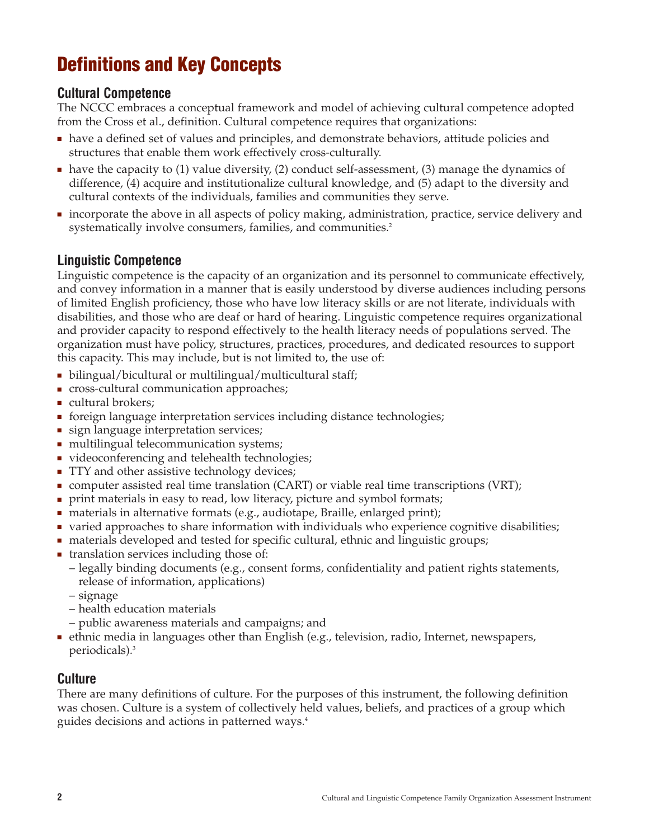## **Definitions and Key Concepts**

## **Cultural Competence**

The NCCC embraces a conceptual framework and model of achieving cultural competence adopted from the Cross et al., definition. Cultural competence requires that organizations:

- have a defined set of values and principles, and demonstrate behaviors, attitude policies and structures that enable them work effectively cross-culturally.
- have the capacity to (1) value diversity, (2) conduct self-assessment, (3) manage the dynamics of difference, (4) acquire and institutionalize cultural knowledge, and (5) adapt to the diversity and cultural contexts of the individuals, families and communities they serve.
- incorporate the above in all aspects of policy making, administration, practice, service delivery and systematically involve consumers, families, and communities.<sup>2</sup>

## **Linguistic Competence**

Linguistic competence is the capacity of an organization and its personnel to communicate effectively, and convey information in a manner that is easily understood by diverse audiences including persons of limited English proficiency, those who have low literacy skills or are not literate, individuals with disabilities, and those who are deaf or hard of hearing. Linguistic competence requires organizational and provider capacity to respond effectively to the health literacy needs of populations served. The organization must have policy, structures, practices, procedures, and dedicated resources to support this capacity. This may include, but is not limited to, the use of:

- bilingual/bicultural or multilingual/multicultural staff;
- cross-cultural communication approaches;
- cultural brokers;
- foreign language interpretation services including distance technologies;
- sign language interpretation services;
- multilingual telecommunication systems;
- videoconferencing and telehealth technologies;
- TTY and other assistive technology devices;
- computer assisted real time translation (CART) or viable real time transcriptions (VRT);
- print materials in easy to read, low literacy, picture and symbol formats;
- materials in alternative formats (e.g., audiotape, Braille, enlarged print);
- varied approaches to share information with individuals who experience cognitive disabilities;
- materials developed and tested for specific cultural, ethnic and linguistic groups;
- translation services including those of:
	- legally binding documents (e.g., consent forms, confidentiality and patient rights statements, release of information, applications)
	- signage
	- health education materials
	- public awareness materials and campaigns; and
- ethnic media in languages other than English (e.g., television, radio, Internet, newspapers, periodicals).3

## **Culture**

There are many definitions of culture. For the purposes of this instrument, the following definition was chosen. Culture is a system of collectively held values, beliefs, and practices of a group which guides decisions and actions in patterned ways.4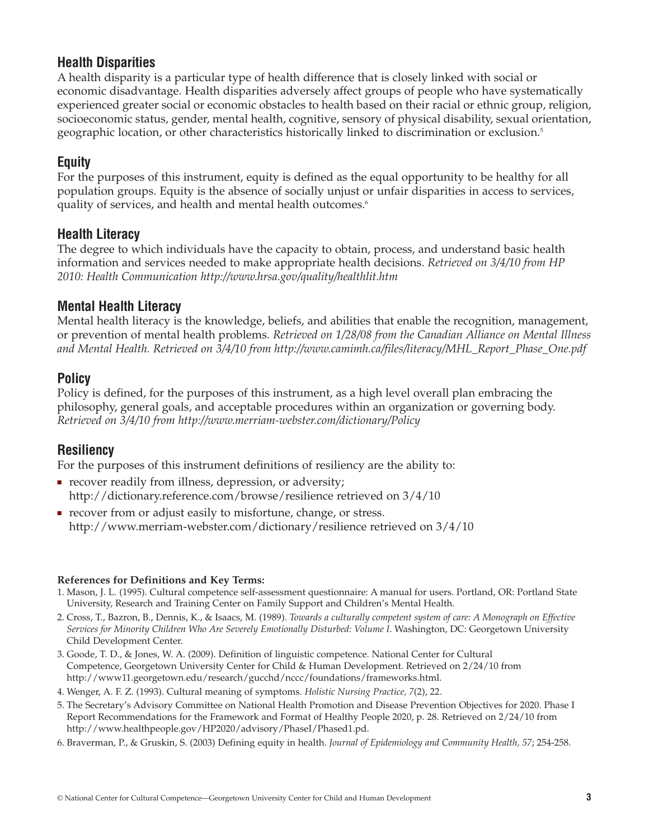## **Health Disparities**

A health disparity is a particular type of health difference that is closely linked with social or economic disadvantage. Health disparities adversely affect groups of people who have systematically experienced greater social or economic obstacles to health based on their racial or ethnic group, religion, socioeconomic status, gender, mental health, cognitive, sensory of physical disability, sexual orientation, geographic location, or other characteristics historically linked to discrimination or exclusion.5

## **Equity**

For the purposes of this instrument, equity is defined as the equal opportunity to be healthy for all population groups. Equity is the absence of socially unjust or unfair disparities in access to services, quality of services, and health and mental health outcomes.<sup>6</sup>

## **Health Literacy**

The degree to which individuals have the capacity to obtain, process, and understand basic health information and services needed to make appropriate health decisions. *Retrieved on 3/4/10 from HP 2010: Health Communication http://www.hrsa.gov/quality/healthlit.htm*

## **Mental Health Literacy**

Mental health literacy is the knowledge, beliefs, and abilities that enable the recognition, management, or prevention of mental health problems. *Retrieved on 1/28/08 from the Canadian Alliance on Mental Illness and Mental Health. Retrieved on 3/4/10 from http://www.camimh.ca/files/literacy/MHL\_Report\_Phase\_One.pdf*

## **Policy**

Policy is defined, for the purposes of this instrument, as a high level overall plan embracing the philosophy, general goals, and acceptable procedures within an organization or governing body. *Retrieved on 3/4/10 from http://www.merriam-webster.com/dictionary/Policy*

## **Resiliency**

For the purposes of this instrument definitions of resiliency are the ability to:

- recover readily from illness, depression, or adversity; http://dictionary.reference.com/browse/resilience retrieved on 3/4/10
- recover from or adjust easily to misfortune, change, or stress. http://www.merriam-webster.com/dictionary/resilience retrieved on 3/4/10

#### **References for Definitions and Key Terms:**

- 1. Mason, J. L. (1995). Cultural competence self-assessment questionnaire: A manual for users. Portland, OR: Portland State University, Research and Training Center on Family Support and Children's Mental Health.
- 2. Cross, T., Bazron, B., Dennis, K., & Isaacs, M. (1989). *Towards a culturally competent system of care: A Monograph on Effective Services for Minority Children Who Are Severely Emotionally Disturbed: Volume I*. Washington, DC: Georgetown University Child Development Center.
- 3. Goode, T. D., & Jones, W. A. (2009). Definition of linguistic competence. National Center for Cultural Competence, Georgetown University Center for Child & Human Development. Retrieved on 2/24/10 from http://www11.georgetown.edu/research/gucchd/nccc/foundations/frameworks.html.
- 4. Wenger, A. F. Z. (1993). Cultural meaning of symptoms. *Holistic Nursing Practice, 7*(2), 22.
- 5. The Secretary's Advisory Committee on National Health Promotion and Disease Prevention Objectives for 2020. Phase I Report Recommendations for the Framework and Format of Healthy People 2020, p. 28. Retrieved on 2/24/10 from http://www.healthpeople.gov/HP2020/advisory/PhaseI/Phased1.pd.
- 6. Braverman, P., & Gruskin, S. (2003) Defining equity in health. *Journal of Epidemiology and Community Health, 57*; 254-258.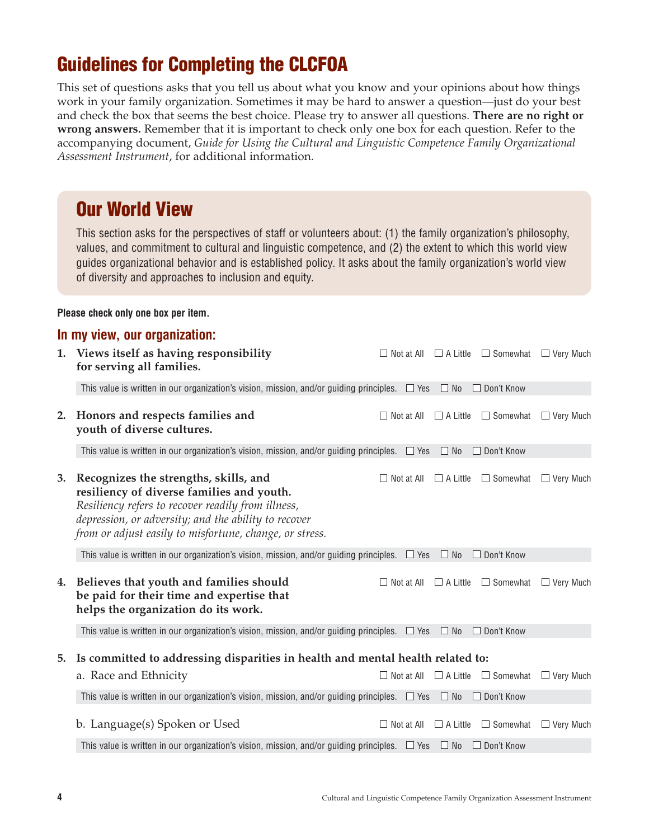## **Guidelines for Completing the CLCFOA**

This set of questions asks that you tell us about what you know and your opinions about how things work in your family organization. Sometimes it may be hard to answer a question—just do your best and check the box that seems the best choice. Please try to answer all questions. **There are no right or wrong answers.** Remember that it is important to check only one box for each question. Refer to the accompanying document, *Guide for Using the Cultural and Linguistic Competence Family Organizational Assessment Instrument*, for additional information.

## **Our World View**

This section asks for the perspectives of staff or volunteers about: (1) the family organization's philosophy, values, and commitment to cultural and linguistic competence, and (2) the extent to which this world view guides organizational behavior and is established policy. It asks about the family organization's world view of diversity and approaches to inclusion and equity.

#### **Please check only one box per item.**

|    | In my view, our organization:                                                                                                                                                                                                                               |                                   |                 |                                                   |                  |
|----|-------------------------------------------------------------------------------------------------------------------------------------------------------------------------------------------------------------------------------------------------------------|-----------------------------------|-----------------|---------------------------------------------------|------------------|
|    | 1. Views itself as having responsibility<br>for serving all families.                                                                                                                                                                                       | $\Box$ Not at All                 | $\Box$ A Little | $\Box$ Somewhat                                   | $\Box$ Very Much |
|    | This value is written in our organization's vision, mission, and/or guiding principles. $\Box$ Yes                                                                                                                                                          |                                   | $\Box$ No       | $\Box$ Don't Know                                 |                  |
| 2. | Honors and respects families and<br>youth of diverse cultures.                                                                                                                                                                                              |                                   |                 | $\Box$ Not at All $\Box$ A Little $\Box$ Somewhat | $\Box$ Very Much |
|    | This value is written in our organization's vision, mission, and/or guiding principles. $\Box$ Yes                                                                                                                                                          |                                   | $\Box$ No       | □ Don't Know                                      |                  |
| 3. | Recognizes the strengths, skills, and<br>resiliency of diverse families and youth.<br>Resiliency refers to recover readily from illness,<br>depression, or adversity; and the ability to recover<br>from or adjust easily to misfortune, change, or stress. | $\Box$ Not at All                 | $\Box$ A Little | $\Box$ Somewhat                                   | $\Box$ Very Much |
|    | This value is written in our organization's vision, mission, and/or guiding principles. $\Box$ Yes                                                                                                                                                          |                                   | $\Box$ No       | $\Box$ Don't Know                                 |                  |
| 4. | Believes that youth and families should<br>be paid for their time and expertise that<br>helps the organization do its work.                                                                                                                                 | $\Box$ Not at All                 | $\Box$ A Little | $\Box$ Somewhat                                   | $\Box$ Very Much |
|    | This value is written in our organization's vision, mission, and/or guiding principles. $\Box$ Yes                                                                                                                                                          |                                   | $\Box$ No       | $\Box$ Don't Know                                 |                  |
| 5. | Is committed to addressing disparities in health and mental health related to:<br>a. Race and Ethnicity                                                                                                                                                     | $\Box$ Not at All                 |                 | $\Box$ A Little $\Box$ Somewhat                   | $\Box$ Very Much |
|    | This value is written in our organization's vision, mission, and/or guiding principles. $\Box$ Yes $\Box$ No                                                                                                                                                |                                   |                 | $\Box$ Don't Know                                 |                  |
|    |                                                                                                                                                                                                                                                             |                                   |                 |                                                   |                  |
|    | b. Language(s) Spoken or Used                                                                                                                                                                                                                               | $\Box$ Not at All $\Box$ A Little |                 | $\Box$ Somewhat                                   | $\Box$ Very Much |
|    | This value is written in our organization's vision, mission, and/or guiding principles. $\Box$ Yes $\Box$ No                                                                                                                                                |                                   |                 | $\Box$ Don't Know                                 |                  |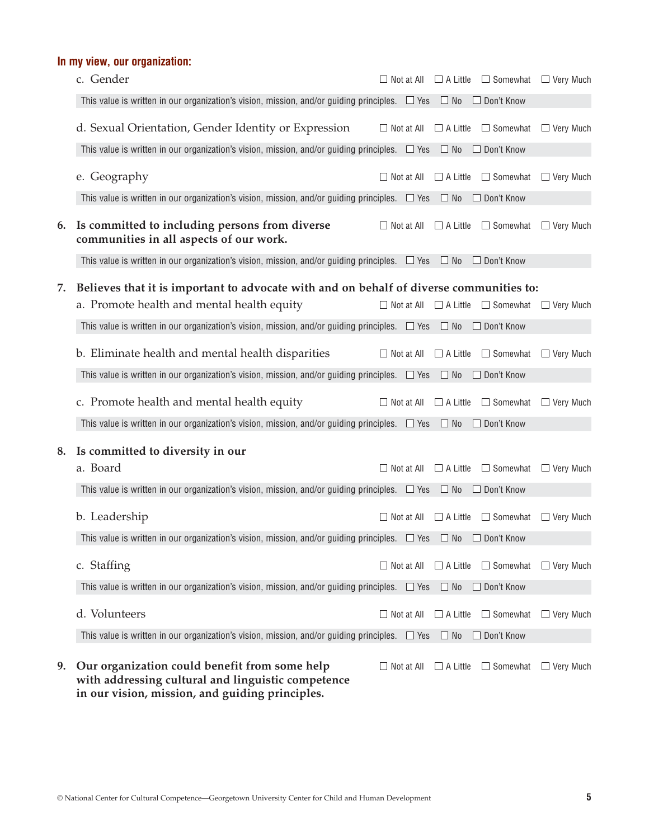## **In my view, our organization:**

|    | c. Gender                                                                                                                                              |                   | $\Box$ Not at All $\Box$ A Little | $\Box$ Somewhat $\Box$ Very Much |                  |
|----|--------------------------------------------------------------------------------------------------------------------------------------------------------|-------------------|-----------------------------------|----------------------------------|------------------|
|    | This value is written in our organization's vision, mission, and/or guiding principles. $\Box$ Yes $\Box$ No                                           |                   |                                   | □ Don't Know                     |                  |
|    | d. Sexual Orientation, Gender Identity or Expression                                                                                                   | $\Box$ Not at All | $\Box$ A Little                   | $\Box$ Somewhat                  | $\Box$ Very Much |
|    | This value is written in our organization's vision, mission, and/or guiding principles. $\Box$ Yes                                                     |                   | $\Box$ No                         | □ Don't Know                     |                  |
|    | e. Geography                                                                                                                                           | $\Box$ Not at All | $\Box$ A Little                   | $\Box$ Somewhat                  | $\Box$ Very Much |
|    | This value is written in our organization's vision, mission, and/or guiding principles. $\Box$ Yes                                                     |                   | $\Box$ No                         | □ Don't Know                     |                  |
| 6. | Is committed to including persons from diverse<br>communities in all aspects of our work.                                                              | $\Box$ Not at All | $\Box$ A Little                   | $\Box$ Somewhat                  | $\Box$ Very Much |
|    | This value is written in our organization's vision, mission, and/or guiding principles. $\Box$ Yes $\Box$ No                                           |                   |                                   | □ Don't Know                     |                  |
| 7. | Believes that it is important to advocate with and on behalf of diverse communities to:                                                                |                   |                                   |                                  |                  |
|    | a. Promote health and mental health equity                                                                                                             |                   | $\Box$ Not at All $\Box$ A Little | $\Box$ Somewhat                  | $\Box$ Very Much |
|    | This value is written in our organization's vision, mission, and/or guiding principles. $\Box$ Yes $\Box$ No                                           |                   |                                   | $\Box$ Don't Know                |                  |
|    | b. Eliminate health and mental health disparities                                                                                                      | $\Box$ Not at All | $\Box$ A Little                   | $\Box$ Somewhat                  | $\Box$ Very Much |
|    | This value is written in our organization's vision, mission, and/or guiding principles. $\Box$ Yes                                                     |                   | $\Box$ No                         | □ Don't Know                     |                  |
|    | c. Promote health and mental health equity                                                                                                             | $\Box$ Not at All | $\Box$ A Little                   | $\Box$ Somewhat                  | $\Box$ Very Much |
|    | This value is written in our organization's vision, mission, and/or guiding principles. $\Box$ Yes                                                     |                   | $\Box$ No                         | □ Don't Know                     |                  |
| 8. | Is committed to diversity in our                                                                                                                       |                   |                                   |                                  |                  |
|    | a. Board                                                                                                                                               | $\Box$ Not at All | $\Box$ A Little                   | $\Box$ Somewhat                  | $\Box$ Very Much |
|    | This value is written in our organization's vision, mission, and/or guiding principles. $\Box$ Yes                                                     |                   | $\Box$ No                         | □ Don't Know                     |                  |
|    | b. Leadership                                                                                                                                          | $\Box$ Not at All | $\Box$ A Little                   | $\Box$ Somewhat                  | $\Box$ Very Much |
|    | This value is written in our organization's vision, mission, and/or guiding principles. $\Box$ Yes                                                     |                   | $\Box$ No                         | $\Box$ Don't Know                |                  |
|    | c. Staffing                                                                                                                                            | $\Box$ Not at All | $\Box$ A Little                   | $\Box$ Somewhat                  | $\Box$ Very Much |
|    | This value is written in our organization's vision, mission, and/or guiding principles. $\Box$ Yes                                                     |                   | $\Box$ No                         | □ Don't Know                     |                  |
|    | d. Volunteers                                                                                                                                          | $\Box$ Not at All | $\Box$ A Little                   | $\Box$ Somewhat                  | $\Box$ Very Much |
|    | This value is written in our organization's vision, mission, and/or guiding principles. $\Box$ Yes                                                     |                   | $\Box$ No                         | □ Don't Know                     |                  |
| 9. | Our organization could benefit from some help<br>with addressing cultural and linguistic competence<br>in our vision, mission, and guiding principles. | $\Box$ Not at All | $\Box$ A Little                   | $\Box$ Somewhat                  | $\Box$ Very Much |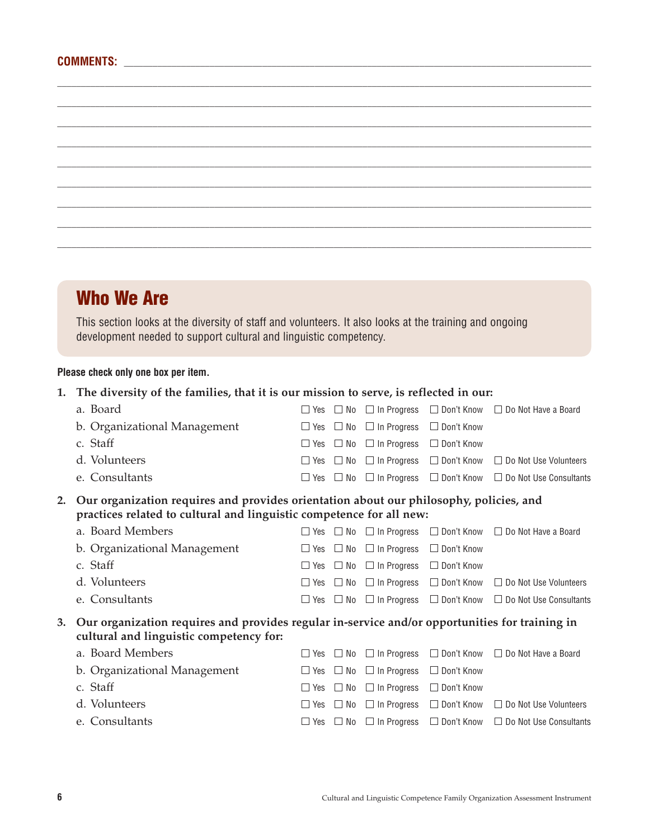## **Who We Are**

This section looks at the diversity of staff and volunteers. It also looks at the training and ongoing development needed to support cultural and linguistic competency.

 $\Box$  $\Box$  $\Box$ \_\_\_\_\_\_\_\_\_\_\_\_\_\_\_\_\_\_\_\_\_\_\_\_\_\_\_\_\_\_\_\_\_\_\_\_\_\_\_\_\_\_\_\_\_\_\_\_\_\_\_\_\_\_\_\_\_\_\_\_\_\_\_\_\_\_\_\_\_\_\_\_\_\_\_\_\_\_\_\_\_\_\_\_\_\_\_\_\_\_\_\_\_\_\_\_\_\_\_\_\_\_\_\_\_\_\_\_\_\_\_\_  $\Box$  $\Box$  $\Box$  $\Box$ \_\_\_\_\_\_\_\_\_\_\_\_\_\_\_\_\_\_\_\_\_\_\_\_\_\_\_\_\_\_\_\_\_\_\_\_\_\_\_\_\_\_\_\_\_\_\_\_\_\_\_\_\_\_\_\_\_\_\_\_\_\_\_\_\_\_\_\_\_\_\_\_\_\_\_\_\_\_\_\_\_\_\_\_\_\_\_\_\_\_\_\_\_\_\_\_\_\_\_\_\_\_\_\_\_\_\_\_\_\_\_\_

#### **Please check only one box per item.**

### **1. The diversity of the families, that it is our mission to serve, is reflected in our:**

|                                                                                                                                                 | a. Board                                                                                                                                                       | $\Box$ Yes | $\Box$ No | $\Box$ In Progress | □ Don't Know      | $\Box$ Do Not Have a Board    |
|-------------------------------------------------------------------------------------------------------------------------------------------------|----------------------------------------------------------------------------------------------------------------------------------------------------------------|------------|-----------|--------------------|-------------------|-------------------------------|
|                                                                                                                                                 | b. Organizational Management                                                                                                                                   | $\Box$ Yes | $\Box$ No | $\Box$ In Progress | $\Box$ Don't Know |                               |
|                                                                                                                                                 | c. Staff                                                                                                                                                       | $\Box$ Yes | $\Box$ No | $\Box$ In Progress | $\Box$ Don't Know |                               |
|                                                                                                                                                 | d. Volunteers                                                                                                                                                  | $\Box$ Yes | $\Box$ No | $\Box$ In Progress | $\Box$ Don't Know | $\Box$ Do Not Use Volunteers  |
|                                                                                                                                                 | e. Consultants                                                                                                                                                 | $\Box$ Yes | $\Box$ No | $\Box$ In Progress | $\Box$ Don't Know | $\Box$ Do Not Use Consultants |
| 2.                                                                                                                                              | Our organization requires and provides orientation about our philosophy, policies, and<br>practices related to cultural and linguistic competence for all new: |            |           |                    |                   |                               |
|                                                                                                                                                 | a. Board Members                                                                                                                                               | $\Box$ Yes | $\Box$ No | $\Box$ In Progress | $\Box$ Don't Know | $\Box$ Do Not Have a Board    |
|                                                                                                                                                 | b. Organizational Management                                                                                                                                   | $\Box$ Yes | $\Box$ No | $\Box$ In Progress | $\Box$ Don't Know |                               |
|                                                                                                                                                 | c. Staff                                                                                                                                                       | $\Box$ Yes | $\Box$ No | $\Box$ In Progress | $\Box$ Don't Know |                               |
|                                                                                                                                                 | d. Volunteers                                                                                                                                                  | $\Box$ Yes | $\Box$ No | $\Box$ In Progress | $\Box$ Don't Know | $\Box$ Do Not Use Volunteers  |
|                                                                                                                                                 | e. Consultants                                                                                                                                                 | $\Box$ Yes | $\Box$ No | $\Box$ In Progress | □ Don't Know      | $\Box$ Do Not Use Consultants |
| Our organization requires and provides regular in-service and/or opportunities for training in<br>3.<br>cultural and linguistic competency for: |                                                                                                                                                                |            |           |                    |                   |                               |
|                                                                                                                                                 | a. Board Members                                                                                                                                               | $\Box$ Yes | $\Box$ No | $\Box$ In Progress | □ Don't Know      | $\Box$ Do Not Have a Board    |
|                                                                                                                                                 | b. Organizational Management                                                                                                                                   | $\Box$ Yes | $\Box$ No | $\Box$ In Progress | $\Box$ Don't Know |                               |
|                                                                                                                                                 | c. Staff                                                                                                                                                       | $\Box$ Yes | $\Box$ No | $\Box$ In Progress | $\Box$ Don't Know |                               |
|                                                                                                                                                 | d. Volunteers                                                                                                                                                  | $\Box$ Yes | $\Box$ No | $\Box$ In Progress | $\Box$ Don't Know | $\Box$ Do Not Use Volunteers  |
|                                                                                                                                                 | e. Consultants                                                                                                                                                 | $\Box$ Yes | $\Box$ No | $\Box$ In Progress | □ Don't Know      | $\Box$ Do Not Use Consultants |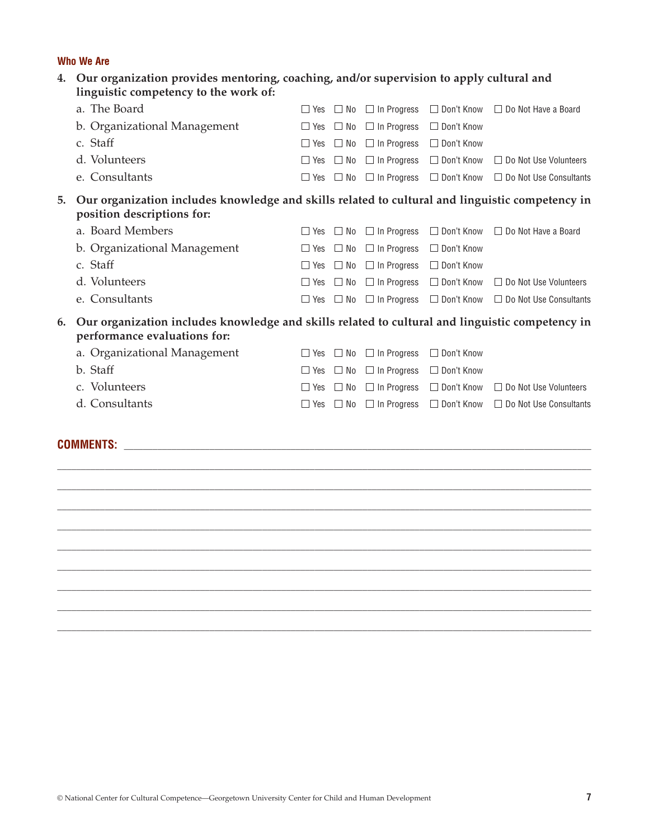#### **Who We Are**

| 4.                                                                                                                                    | Our organization provides mentoring, coaching, and/or supervision to apply cultural and<br>linguistic competency to the work of: |                |           |                    |                   |                               |  |  |  |
|---------------------------------------------------------------------------------------------------------------------------------------|----------------------------------------------------------------------------------------------------------------------------------|----------------|-----------|--------------------|-------------------|-------------------------------|--|--|--|
|                                                                                                                                       | a. The Board                                                                                                                     | Yes            | $\Box$ No | $\Box$ In Progress | $\Box$ Don't Know | $\Box$ Do Not Have a Board    |  |  |  |
|                                                                                                                                       | b. Organizational Management                                                                                                     | Yes<br>ш       | $\Box$ No | $\Box$ In Progress | □ Don't Know      |                               |  |  |  |
|                                                                                                                                       | c. Staff                                                                                                                         | $\Box$ Yes     | $\Box$ No | $\Box$ In Progress | $\Box$ Don't Know |                               |  |  |  |
|                                                                                                                                       | d. Volunteers                                                                                                                    | $\Box$ Yes     | $\Box$ No | $\Box$ In Progress | $\Box$ Don't Know | $\Box$ Do Not Use Volunteers  |  |  |  |
|                                                                                                                                       | e. Consultants                                                                                                                   | Yes            | $\Box$ No | $\Box$ In Progress | $\Box$ Don't Know | $\Box$ Do Not Use Consultants |  |  |  |
| 5.                                                                                                                                    | Our organization includes knowledge and skills related to cultural and linguistic competency in<br>position descriptions for:    |                |           |                    |                   |                               |  |  |  |
|                                                                                                                                       | a. Board Members                                                                                                                 | Yes            | $\Box$ No | $\Box$ In Progress | $\Box$ Don't Know | $\Box$ Do Not Have a Board    |  |  |  |
|                                                                                                                                       | b. Organizational Management                                                                                                     | Yes            | $\Box$ No | $\Box$ In Progress | □ Don't Know      |                               |  |  |  |
|                                                                                                                                       | c. Staff                                                                                                                         | $\Box$ Yes     | $\Box$ No | $\Box$ In Progress | $\Box$ Don't Know |                               |  |  |  |
|                                                                                                                                       | d. Volunteers                                                                                                                    | Yes<br>П       | $\Box$ No | $\Box$ In Progress | $\Box$ Don't Know | $\Box$ Do Not Use Volunteers  |  |  |  |
|                                                                                                                                       | e. Consultants                                                                                                                   | Yes            | $\Box$ No | $\Box$ In Progress | □ Don't Know      | $\Box$ Do Not Use Consultants |  |  |  |
| Our organization includes knowledge and skills related to cultural and linguistic competency in<br>6.<br>performance evaluations for: |                                                                                                                                  |                |           |                    |                   |                               |  |  |  |
|                                                                                                                                       | a. Organizational Management                                                                                                     | Yes            | $\Box$ No | $\Box$ In Progress | $\Box$ Don't Know |                               |  |  |  |
|                                                                                                                                       | b. Staff                                                                                                                         | Yes<br>$\perp$ | $\Box$ No | $\Box$ In Progress | □ Don't Know      |                               |  |  |  |
|                                                                                                                                       | c. Volunteers                                                                                                                    | $\Box$ Yes     | $\Box$ No | $\Box$ In Progress | $\Box$ Don't Know | $\Box$ Do Not Use Volunteers  |  |  |  |
|                                                                                                                                       | d. Consultants                                                                                                                   | Yes<br>TТ.     | $\Box$ No | $\Box$ In Progress | $\Box$ Don't Know | $\Box$ Do Not Use Consultants |  |  |  |
|                                                                                                                                       | <b>COMMENTS:</b>                                                                                                                 |                |           |                    |                   |                               |  |  |  |

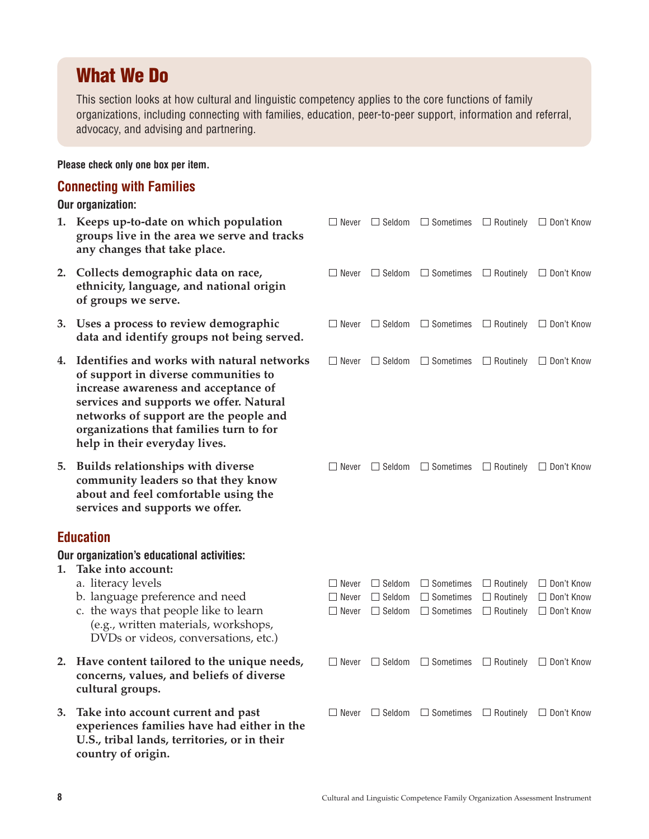## **What We Do**

This section looks at how cultural and linguistic competency applies to the core functions of family organizations, including connecting with families, education, peer-to-peer support, information and referral, advocacy, and advising and partnering.

## **Please check only one box per item.**

### **Connecting with Families**

**Our organization:**

|    | 1. Keeps up-to-date on which population<br>groups live in the area we serve and tracks<br>any changes that take place.                                                                                                                                                                         |                                              | $\Box$ Never $\Box$ Seldom $\Box$ Sometimes $\Box$ Routinely $\Box$ Don't Know                     |                                                          |                                                        |
|----|------------------------------------------------------------------------------------------------------------------------------------------------------------------------------------------------------------------------------------------------------------------------------------------------|----------------------------------------------|----------------------------------------------------------------------------------------------------|----------------------------------------------------------|--------------------------------------------------------|
| 2. | Collects demographic data on race,<br>ethnicity, language, and national origin<br>of groups we serve.                                                                                                                                                                                          | $\Box$ Never                                 | $\Box$ Seldom $\Box$ Sometimes                                                                     |                                                          | $\Box$ Routinely $\Box$ Don't Know                     |
| 3. | Uses a process to review demographic<br>data and identify groups not being served.                                                                                                                                                                                                             |                                              | $\Box$ Never $\Box$ Seldom $\Box$ Sometimes $\Box$ Routinely $\Box$ Don't Know                     |                                                          |                                                        |
|    | 4. Identifies and works with natural networks<br>of support in diverse communities to<br>increase awareness and acceptance of<br>services and supports we offer. Natural<br>networks of support are the people and<br>organizations that families turn to for<br>help in their everyday lives. | $\Box$ Never                                 | $\Box$ Seldom $\Box$ Sometimes                                                                     |                                                          | $\Box$ Routinely $\Box$ Don't Know                     |
| 5. | <b>Builds relationships with diverse</b><br>community leaders so that they know<br>about and feel comfortable using the<br>services and supports we offer.                                                                                                                                     | $\Box$ Never                                 | $\Box$ Seldom $\Box$ Sometimes $\Box$ Routinely $\Box$ Don't Know                                  |                                                          |                                                        |
|    | <b>Education</b>                                                                                                                                                                                                                                                                               |                                              |                                                                                                    |                                                          |                                                        |
|    | Our organization's educational activities:                                                                                                                                                                                                                                                     |                                              |                                                                                                    |                                                          |                                                        |
| 1. | Take into account:<br>a. literacy levels<br>b. language preference and need<br>c. the ways that people like to learn<br>(e.g., written materials, workshops,<br>DVDs or videos, conversations, etc.)                                                                                           | $\Box$ Never<br>$\Box$ Never<br>$\Box$ Never | $\Box$ Seldom $\Box$ Sometimes<br>$\Box$ Seldom $\Box$ Sometimes<br>$\Box$ Seldom $\Box$ Sometimes | $\Box$ Routinely<br>$\Box$ Routinely<br>$\Box$ Routinely | □ Don't Know<br>$\Box$ Don't Know<br>$\Box$ Don't Know |
|    | 2. Have content tailored to the unique needs,<br>concerns, values, and beliefs of diverse<br>cultural groups.                                                                                                                                                                                  |                                              | $\Box$ Never $\Box$ Seldom $\Box$ Sometimes                                                        |                                                          | $\Box$ Routinely $\Box$ Don't Know                     |
| 3. | Take into account current and past<br>experiences families have had either in the<br>U.S., tribal lands, territories, or in their<br>country of origin.                                                                                                                                        | $\Box$ Never                                 | $\Box$ Seldom $\Box$ Sometimes                                                                     | $\Box$ Routinely                                         | $\Box$ Don't Know                                      |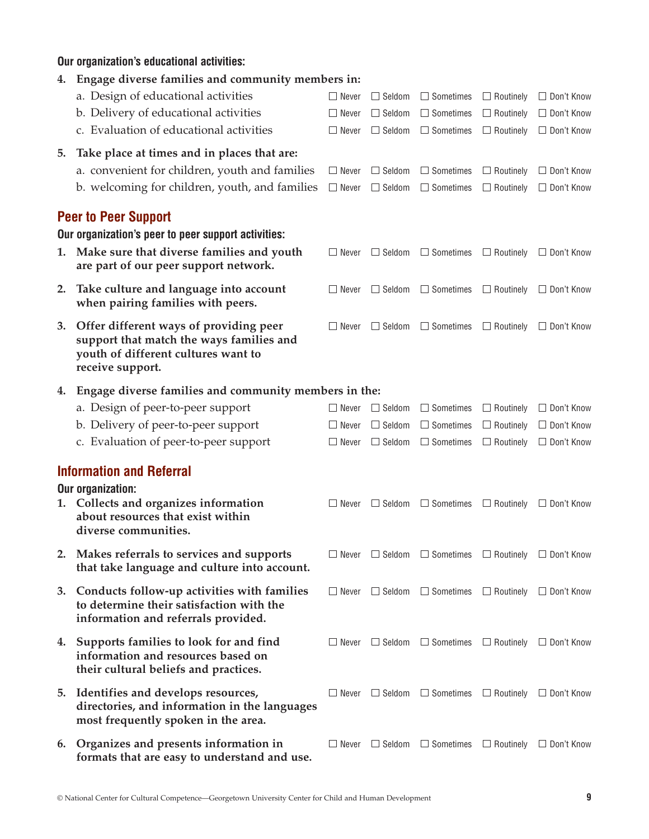## **Our organization's educational activities:**

|  |  |  |  |  | 4. Engage diverse families and community members in: |  |  |
|--|--|--|--|--|------------------------------------------------------|--|--|
|--|--|--|--|--|------------------------------------------------------|--|--|

|    | a. Design of educational activities<br>b. Delivery of educational activities<br>c. Evaluation of educational activities                         | $\Box$ Never<br>$\Box$ Never<br>$\Box$ Never | $\Box$ Seldom<br>$\Box$ Seldom<br>$\Box$ Seldom | $\Box$ Sometimes<br>$\Box$ Sometimes<br>$\Box$ Sometimes | $\Box$ Routinely<br>$\Box$ Routinely<br>$\Box$ Routinely | □ Don't Know<br>□ Don't Know<br>$\Box$ Don't Know |
|----|-------------------------------------------------------------------------------------------------------------------------------------------------|----------------------------------------------|-------------------------------------------------|----------------------------------------------------------|----------------------------------------------------------|---------------------------------------------------|
| 5. | Take place at times and in places that are:<br>a. convenient for children, youth and families<br>b. welcoming for children, youth, and families | $\Box$ Never<br>$\Box$ Never                 | $\Box$ Seldom<br>$\Box$ Seldom                  | $\Box$ Sometimes<br>$\Box$ Sometimes                     | $\Box$ Routinely<br>$\Box$ Routinely                     | $\Box$ Don't Know<br>□ Don't Know                 |
|    | <b>Peer to Peer Support</b>                                                                                                                     |                                              |                                                 |                                                          |                                                          |                                                   |
|    | Our organization's peer to peer support activities:                                                                                             |                                              |                                                 |                                                          |                                                          |                                                   |
| 1. | Make sure that diverse families and youth<br>are part of our peer support network.                                                              | $\Box$ Never                                 | $\Box$ Seldom                                   | $\Box$ Sometimes                                         | $\Box$ Routinely                                         | $\Box$ Don't Know                                 |
| 2. | Take culture and language into account<br>when pairing families with peers.                                                                     | $\Box$ Never                                 | $\Box$ Seldom                                   | $\Box$ Sometimes                                         | $\Box$ Routinely                                         | $\Box$ Don't Know                                 |
| 3. | Offer different ways of providing peer<br>support that match the ways families and<br>youth of different cultures want to<br>receive support.   | $\Box$ Never                                 | $\Box$ Seldom                                   | $\Box$ Sometimes                                         | $\Box$ Routinely                                         | $\Box$ Don't Know                                 |
| 4. | Engage diverse families and community members in the:                                                                                           |                                              |                                                 |                                                          |                                                          |                                                   |
|    | a. Design of peer-to-peer support                                                                                                               | $\Box$ Never                                 | $\Box$ Seldom                                   | $\Box$ Sometimes                                         | $\Box$ Routinely                                         | $\Box$ Don't Know                                 |
|    | b. Delivery of peer-to-peer support                                                                                                             | $\Box$ Never                                 | $\Box$ Seldom                                   | $\Box$ Sometimes                                         | $\Box$ Routinely                                         | $\Box$ Don't Know                                 |
|    | c. Evaluation of peer-to-peer support                                                                                                           | $\Box$ Never                                 | $\Box$ Seldom                                   | $\Box$ Sometimes                                         | $\Box$ Routinely                                         | □ Don't Know                                      |
|    | <b>Information and Referral</b><br>Our organization:                                                                                            |                                              |                                                 |                                                          |                                                          |                                                   |
|    | 1. Collects and organizes information<br>about resources that exist within<br>diverse communities.                                              | $\Box$ Never                                 | $\Box$ Seldom                                   | $\Box$ Sometimes                                         | $\Box$ Routinely                                         | $\Box$ Don't Know                                 |
|    | 2. Makes referrals to services and supports<br>that take language and culture into account.                                                     | Never<br>$\Box$                              | $\Box$ Seldom                                   | $\Box$ Sometimes                                         | $\Box$ Routinely                                         | $\Box$ Don't Know                                 |
| 3. | Conducts follow-up activities with families<br>to determine their satisfaction with the<br>information and referrals provided.                  | $\Box$ Never                                 | $\Box$ Seldom                                   | $\Box$ Sometimes                                         |                                                          | $\Box$ Routinely $\Box$ Don't Know                |
| 4. | Supports families to look for and find<br>information and resources based on<br>their cultural beliefs and practices.                           | $\Box$ Never                                 |                                                 | $\Box$ Seldom $\Box$ Sometimes                           | $\Box$ Routinely                                         | □ Don't Know                                      |
| 5. | Identifies and develops resources,<br>directories, and information in the languages<br>most frequently spoken in the area.                      | $\Box$ Never                                 |                                                 | $\Box$ Seldom $\Box$ Sometimes                           | $\Box$ Routinely                                         | □ Don't Know                                      |
| 6. | Organizes and presents information in<br>formats that are easy to understand and use.                                                           | $\Box$ Never                                 |                                                 | $\Box$ Seldom $\Box$ Sometimes                           | $\Box$ Routinely                                         | □ Don't Know                                      |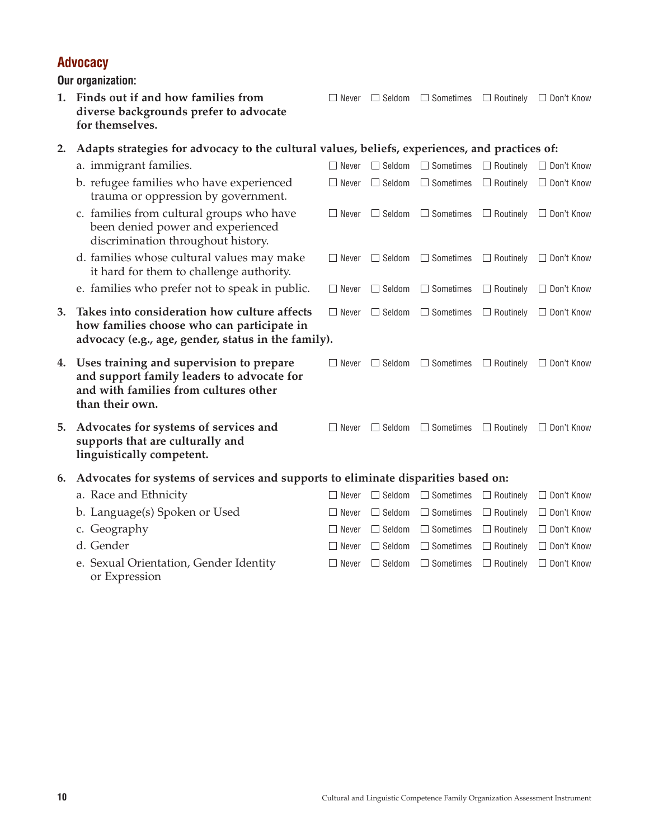#### **10** Cultural and Linguistic Competence Family Organization Assessment Instrument

|    | Our organization:                                                                                                                                  |              |               |                  |                  |                   |
|----|----------------------------------------------------------------------------------------------------------------------------------------------------|--------------|---------------|------------------|------------------|-------------------|
|    | 1. Finds out if and how families from<br>diverse backgrounds prefer to advocate<br>for themselves.                                                 | $\Box$ Never | $\Box$ Seldom | $\Box$ Sometimes | $\Box$ Routinely | $\Box$ Don't Know |
| 2. | Adapts strategies for advocacy to the cultural values, beliefs, experiences, and practices of:                                                     |              |               |                  |                  |                   |
|    | a. immigrant families.                                                                                                                             | $\Box$ Never | $\Box$ Seldom | $\Box$ Sometimes | $\Box$ Routinely | $\Box$ Don't Know |
|    | b. refugee families who have experienced<br>trauma or oppression by government.                                                                    | $\Box$ Never | $\Box$ Seldom | $\Box$ Sometimes | $\Box$ Routinely | $\Box$ Don't Know |
|    | c. families from cultural groups who have<br>been denied power and experienced<br>discrimination throughout history.                               | $\Box$ Never | $\Box$ Seldom | $\Box$ Sometimes | $\Box$ Routinely | $\Box$ Don't Know |
|    | d. families whose cultural values may make<br>it hard for them to challenge authority.                                                             | $\Box$ Never | $\Box$ Seldom | $\Box$ Sometimes | $\Box$ Routinely | $\Box$ Don't Know |
|    | e. families who prefer not to speak in public.                                                                                                     | $\Box$ Never | $\Box$ Seldom | $\Box$ Sometimes | $\Box$ Routinely | $\Box$ Don't Know |
| 3. | Takes into consideration how culture affects<br>how families choose who can participate in<br>advocacy (e.g., age, gender, status in the family).  | $\Box$ Never | $\Box$ Seldom | $\Box$ Sometimes | $\Box$ Routinely | $\Box$ Don't Know |
| 4. | Uses training and supervision to prepare<br>and support family leaders to advocate for<br>and with families from cultures other<br>than their own. | $\Box$ Never | $\Box$ Seldom | $\Box$ Sometimes | $\Box$ Routinely | $\Box$ Don't Know |
| 5. | Advocates for systems of services and<br>supports that are culturally and<br>linguistically competent.                                             | $\Box$ Never | $\Box$ Seldom | $\Box$ Sometimes | $\Box$ Routinely | $\Box$ Don't Know |
| 6. | Advocates for systems of services and supports to eliminate disparities based on:                                                                  |              |               |                  |                  |                   |
|    | a. Race and Ethnicity                                                                                                                              | $\Box$ Never | $\Box$ Seldom | $\Box$ Sometimes | $\Box$ Routinely | $\Box$ Don't Know |
|    | b. Language(s) Spoken or Used                                                                                                                      | $\Box$ Never | $\Box$ Seldom | $\Box$ Sometimes | $\Box$ Routinely | $\Box$ Don't Know |
|    | c. Geography                                                                                                                                       | Never        | $\Box$ Seldom | $\Box$ Sometimes | $\Box$ Routinely | $\Box$ Don't Know |
|    | d. Gender                                                                                                                                          | $\Box$ Never | $\Box$ Seldom | $\Box$ Sometimes | $\Box$ Routinely | $\Box$ Don't Know |
|    | e. Sexual Orientation, Gender Identity                                                                                                             | $\Box$ Never | $\Box$ Seldom | $\Box$ Sometimes | $\Box$ Routinely | $\Box$ Don't Know |

or Expression

**Advocacy**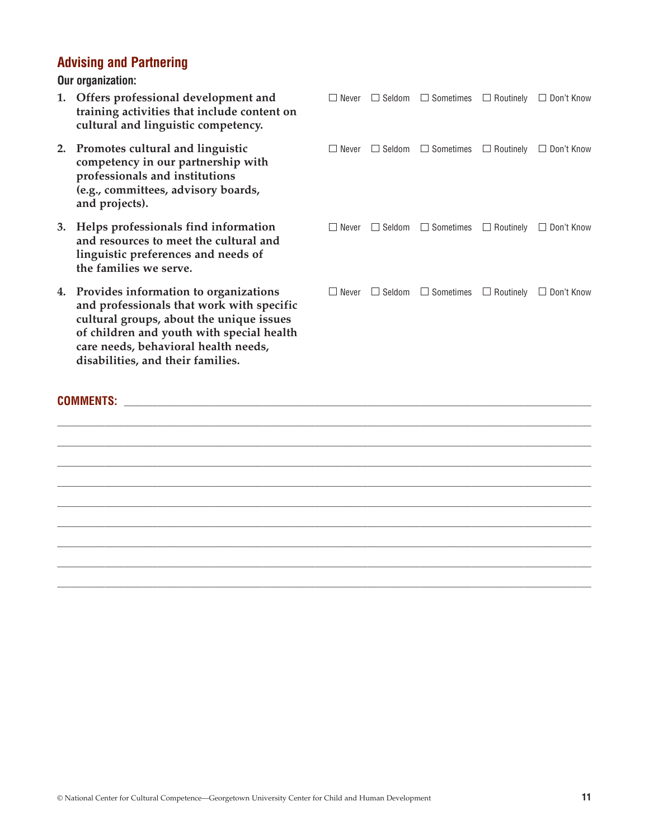## **Advising and Partnering**

**Our organization:**

**1. Offers professional development and**  $\square$  **Never**  $\square$  **Seldom**  $\square$  **Sometimes**  $\square$  **Routinely**  $\square$  **Don't Know training activities that include content on cultural and linguistic competency. 2. Promotes cultural and linguistic**  $\square$  Never  $\square$  Seldom  $\square$  Sometimes  $\square$  Routinely  $\square$  Don't Know **competency in our partnership with professionals and institutions (e.g., committees, advisory boards, and projects). 3. Helps professionals find information**  $\Box$  Never  $\Box$  Seldom  $\Box$  Sometimes  $\Box$  Routinely  $\Box$  Don't Know **and resources to meet the cultural and**  linguistic preferences and needs **the families we serve. 4. Provides information to organiz** and professionals that work wit cultural groups, about the unique of children and youth with spec care needs, behavioral health ne **disabilities, and their families.**

 $\Box$  $\Box$  $\Box$  $\Box$ \_\_\_\_\_\_\_\_\_\_\_\_\_\_\_\_\_\_\_\_\_\_\_\_\_\_\_\_\_\_\_\_\_\_\_\_\_\_\_\_\_\_\_\_\_\_\_\_\_\_\_\_\_\_\_\_\_\_\_\_\_\_\_\_\_\_\_\_\_\_\_\_\_\_\_\_\_\_\_\_\_\_\_\_\_\_\_\_\_\_\_\_\_\_\_\_\_\_\_\_\_\_\_\_\_\_\_\_\_\_\_\_  $\Box$  $\Box$  $\Box$ 

#### **COMMENTS:**  $\blacksquare$

| and resources to meet the cultural and<br>linguistic preferences and needs of<br>the families we serve.                                                                                                                                                     |              |                                                 |                   |
|-------------------------------------------------------------------------------------------------------------------------------------------------------------------------------------------------------------------------------------------------------------|--------------|-------------------------------------------------|-------------------|
| 4. Provides information to organizations<br>and professionals that work with specific<br>cultural groups, about the unique issues<br>of children and youth with special health<br>care needs, behavioral health needs,<br>disabilities, and their families. | $\Box$ Never | $\Box$ Seldom $\Box$ Sometimes $\Box$ Routinely | $\Box$ Don't Know |
| <b>COMMENTS:</b>                                                                                                                                                                                                                                            |              |                                                 |                   |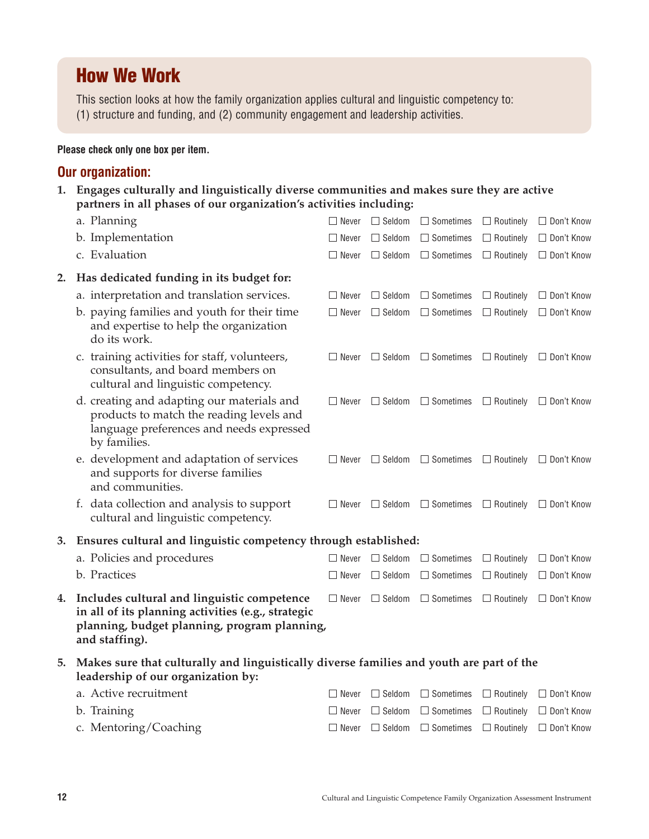## **How We Work**

This section looks at how the family organization applies cultural and linguistic competency to: (1) structure and funding, and (2) community engagement and leadership activities.

#### **Please check only one box per item.**

## **Our organization:**

**1. Engages culturally and linguistically diverse communities and makes sure they are active partners in all phases of our organization's activities including:**

|    | a. Planning                                                                                                                                                         | Never        | $\Box$ Seldom | $\Box$ Sometimes               |                  | $\Box$ Routinely $\Box$ Don't Know |
|----|---------------------------------------------------------------------------------------------------------------------------------------------------------------------|--------------|---------------|--------------------------------|------------------|------------------------------------|
|    | b. Implementation                                                                                                                                                   | $\Box$ Never | $\Box$ Seldom | $\Box$ Sometimes               |                  | $\Box$ Routinely $\Box$ Don't Know |
|    | c. Evaluation                                                                                                                                                       | $\Box$ Never | $\Box$ Seldom | $\Box$ Sometimes               |                  | $\Box$ Routinely $\Box$ Don't Know |
| 2. | Has dedicated funding in its budget for:                                                                                                                            |              |               |                                |                  |                                    |
|    | a. interpretation and translation services.                                                                                                                         | $\Box$ Never | $\Box$ Seldom | $\Box$ Sometimes               | $\Box$ Routinely | □ Don't Know                       |
|    | b. paying families and youth for their time<br>and expertise to help the organization<br>do its work.                                                               | $\Box$ Never | $\Box$ Seldom | $\Box$ Sometimes               |                  | $\Box$ Routinely $\Box$ Don't Know |
|    | c. training activities for staff, volunteers,<br>consultants, and board members on<br>cultural and linguistic competency.                                           | $\Box$ Never | $\Box$ Seldom | $\Box$ Sometimes               | $\Box$ Routinely | □ Don't Know                       |
|    | d. creating and adapting our materials and<br>products to match the reading levels and<br>language preferences and needs expressed<br>by families.                  | $\Box$ Never | $\Box$ Seldom | $\Box$ Sometimes               |                  | $\Box$ Routinely $\Box$ Don't Know |
|    | e. development and adaptation of services<br>and supports for diverse families<br>and communities.                                                                  | $\Box$ Never |               | $\Box$ Seldom $\Box$ Sometimes |                  | $\Box$ Routinely $\Box$ Don't Know |
|    | f. data collection and analysis to support<br>cultural and linguistic competency.                                                                                   | $\Box$ Never | $\Box$ Seldom | $\Box$ Sometimes               | $\Box$ Routinely | □ Don't Know                       |
| 3. | Ensures cultural and linguistic competency through established:                                                                                                     |              |               |                                |                  |                                    |
|    | a. Policies and procedures                                                                                                                                          | $\Box$ Never | $\Box$ Seldom | $\Box$ Sometimes               | $\Box$ Routinely | □ Don't Know                       |
|    | b. Practices                                                                                                                                                        | $\Box$ Never | $\Box$ Seldom | $\Box$ Sometimes               | $\Box$ Routinely | $\Box$ Don't Know                  |
| 4. | Includes cultural and linguistic competence<br>in all of its planning activities (e.g., strategic<br>planning, budget planning, program planning,<br>and staffing). | $\Box$ Never | $\Box$ Seldom | $\Box$ Sometimes               |                  | $\Box$ Routinely $\Box$ Don't Know |
| 5. | Makes sure that culturally and linguistically diverse families and youth are part of the<br>leadership of our organization by:                                      |              |               |                                |                  |                                    |
|    | a. Active recruitment                                                                                                                                               | $\Box$ Never | $\Box$ Seldom | $\Box$ Sometimes               | $\Box$ Routinely | $\Box$ Don't Know                  |
|    | b. Training                                                                                                                                                         | $\Box$ Never | $\Box$ Seldom | $\Box$ Sometimes               | $\Box$ Routinely | $\Box$ Don't Know                  |
|    | c. Mentoring/Coaching                                                                                                                                               | $\Box$ Never | $\Box$ Seldom | $\Box$ Sometimes               | $\Box$ Routinely | □ Don't Know                       |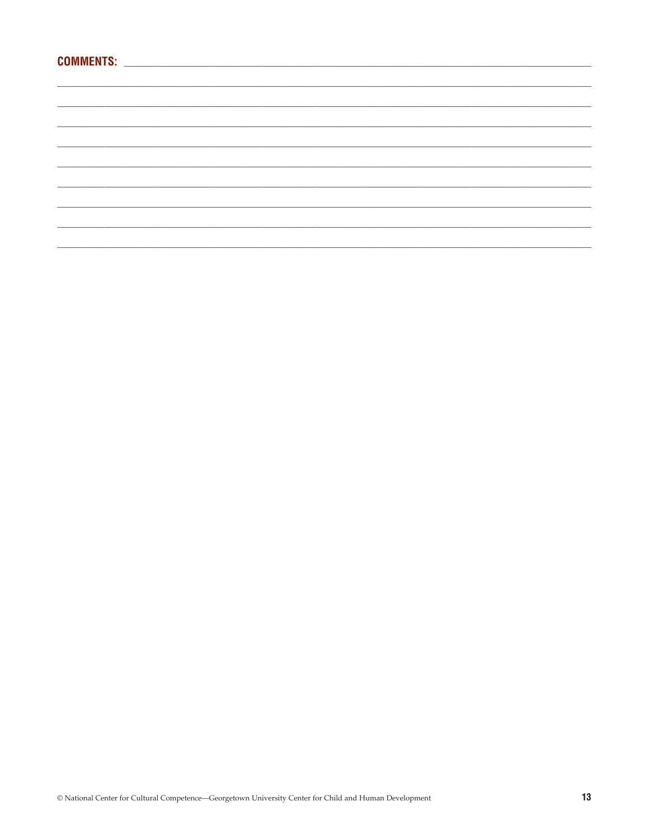##